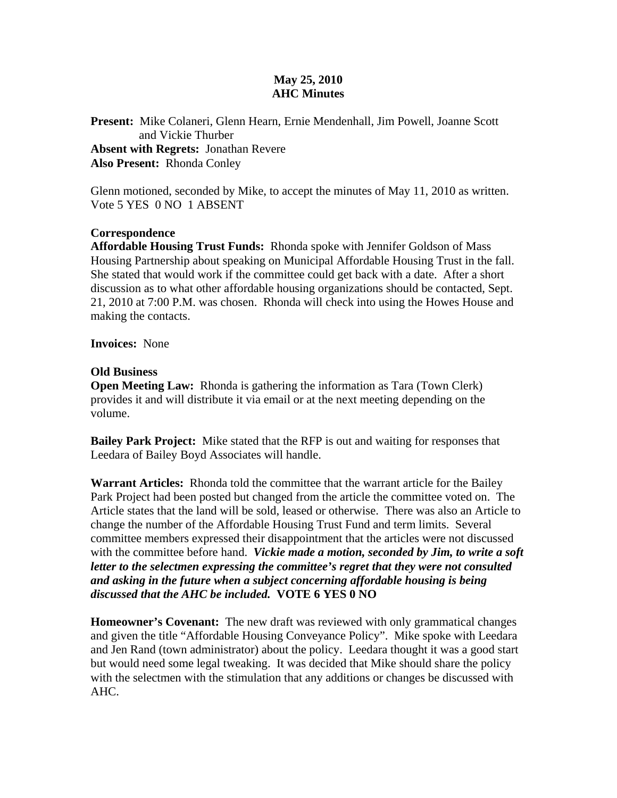## **May 25, 2010 AHC Minutes**

**Present:** Mike Colaneri, Glenn Hearn, Ernie Mendenhall, Jim Powell, Joanne Scott and Vickie Thurber **Absent with Regrets:** Jonathan Revere **Also Present:** Rhonda Conley

Glenn motioned, seconded by Mike, to accept the minutes of May 11, 2010 as written. Vote 5 YES 0 NO 1 ABSENT

## **Correspondence**

**Affordable Housing Trust Funds:** Rhonda spoke with Jennifer Goldson of Mass Housing Partnership about speaking on Municipal Affordable Housing Trust in the fall. She stated that would work if the committee could get back with a date. After a short discussion as to what other affordable housing organizations should be contacted, Sept. 21, 2010 at 7:00 P.M. was chosen. Rhonda will check into using the Howes House and making the contacts.

**Invoices:** None

## **Old Business**

**Open Meeting Law:** Rhonda is gathering the information as Tara (Town Clerk) provides it and will distribute it via email or at the next meeting depending on the volume.

**Bailey Park Project:** Mike stated that the RFP is out and waiting for responses that Leedara of Bailey Boyd Associates will handle.

**Warrant Articles:** Rhonda told the committee that the warrant article for the Bailey Park Project had been posted but changed from the article the committee voted on. The Article states that the land will be sold, leased or otherwise. There was also an Article to change the number of the Affordable Housing Trust Fund and term limits. Several committee members expressed their disappointment that the articles were not discussed with the committee before hand. *Vickie made a motion, seconded by Jim, to write a soft letter to the selectmen expressing the committee's regret that they were not consulted and asking in the future when a subject concerning affordable housing is being discussed that the AHC be included.* **VOTE 6 YES 0 NO** 

**Homeowner's Covenant:** The new draft was reviewed with only grammatical changes and given the title "Affordable Housing Conveyance Policy". Mike spoke with Leedara and Jen Rand (town administrator) about the policy. Leedara thought it was a good start but would need some legal tweaking. It was decided that Mike should share the policy with the selectmen with the stimulation that any additions or changes be discussed with AHC.